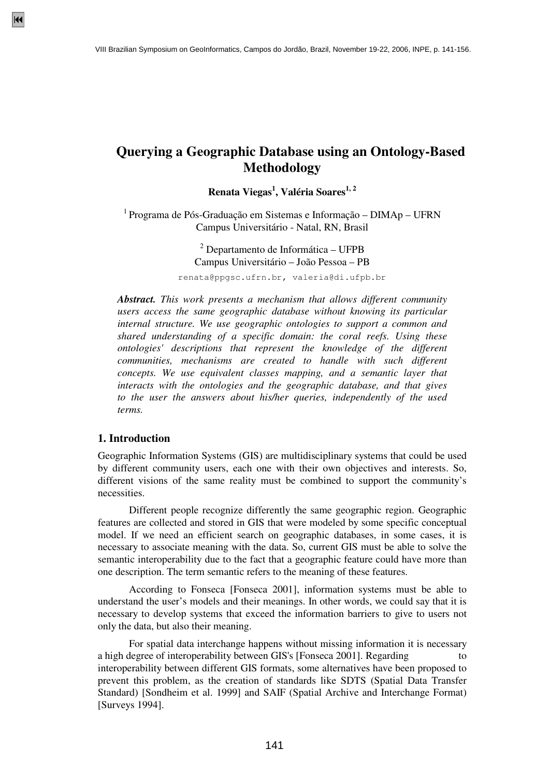# **Querying a Geographic Database using an Ontology-Based Methodology**

**Renata Viegas<sup>1</sup> , Valéria Soares1, 2**

1 Programa de Pós-Graduação em Sistemas e Informação – DIMAp – UFRN Campus Universitário - Natal, RN, Brasil

> 2 Departamento de Informática – UFPB Campus Universitário – João Pessoa – PB renata@ppgsc.ufrn.br, valeria@di.ufpb.br

*Abstract. This work presents a mechanism that allows different community users access the same geographic database without knowing its particular internal structure. We use geographic ontologies to support a common and shared understanding of a specific domain: the coral reefs. Using these ontologies' descriptions that represent the knowledge of the different communities, mechanisms are created to handle with such different concepts. We use equivalent classes mapping, and a semantic layer that interacts with the ontologies and the geographic database, and that gives to the user the answers about his/her queries, independently of the used terms.* 

## **1. Introduction**

Geographic Information Systems (GIS) are multidisciplinary systems that could be used by different community users, each one with their own objectives and interests. So, different visions of the same reality must be combined to support the community's necessities.

 Different people recognize differently the same geographic region. Geographic features are collected and stored in GIS that were modeled by some specific conceptual model. If we need an efficient search on geographic databases, in some cases, it is necessary to associate meaning with the data. So, current GIS must be able to solve the semantic interoperability due to the fact that a geographic feature could have more than one description. The term semantic refers to the meaning of these features.

 According to Fonseca [Fonseca 2001], information systems must be able to understand the user's models and their meanings. In other words, we could say that it is necessary to develop systems that exceed the information barriers to give to users not only the data, but also their meaning.

 For spatial data interchange happens without missing information it is necessary a high degree of interoperability between GIS's [Fonseca 2001]. Regarding to interoperability between different GIS formats, some alternatives have been proposed to prevent this problem, as the creation of standards like SDTS (Spatial Data Transfer Standard) [Sondheim et al. 1999] and SAIF (Spatial Archive and Interchange Format) [Surveys 1994].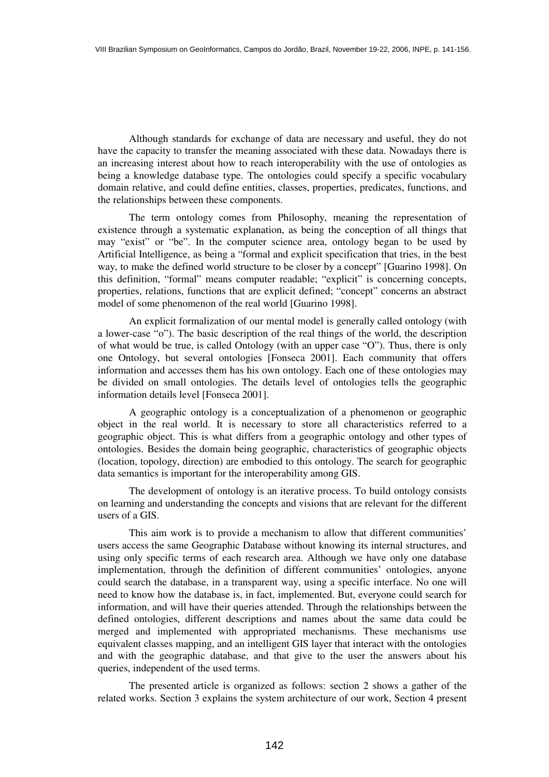Although standards for exchange of data are necessary and useful, they do not have the capacity to transfer the meaning associated with these data. Nowadays there is an increasing interest about how to reach interoperability with the use of ontologies as being a knowledge database type. The ontologies could specify a specific vocabulary domain relative, and could define entities, classes, properties, predicates, functions, and the relationships between these components.

 The term ontology comes from Philosophy, meaning the representation of existence through a systematic explanation, as being the conception of all things that may "exist" or "be". In the computer science area, ontology began to be used by Artificial Intelligence, as being a "formal and explicit specification that tries, in the best way, to make the defined world structure to be closer by a concept" [Guarino 1998]. On this definition, "formal" means computer readable; "explicit" is concerning concepts, properties, relations, functions that are explicit defined; "concept" concerns an abstract model of some phenomenon of the real world [Guarino 1998].

 An explicit formalization of our mental model is generally called ontology (with a lower-case "o"). The basic description of the real things of the world, the description of what would be true, is called Ontology (with an upper case "O"). Thus, there is only one Ontology, but several ontologies [Fonseca 2001]. Each community that offers information and accesses them has his own ontology. Each one of these ontologies may be divided on small ontologies. The details level of ontologies tells the geographic information details level [Fonseca 2001].

 A geographic ontology is a conceptualization of a phenomenon or geographic object in the real world. It is necessary to store all characteristics referred to a geographic object. This is what differs from a geographic ontology and other types of ontologies. Besides the domain being geographic, characteristics of geographic objects (location, topology, direction) are embodied to this ontology. The search for geographic data semantics is important for the interoperability among GIS.

 The development of ontology is an iterative process. To build ontology consists on learning and understanding the concepts and visions that are relevant for the different users of a GIS.

 This aim work is to provide a mechanism to allow that different communities' users access the same Geographic Database without knowing its internal structures, and using only specific terms of each research area. Although we have only one database implementation, through the definition of different communities' ontologies, anyone could search the database, in a transparent way, using a specific interface. No one will need to know how the database is, in fact, implemented. But, everyone could search for information, and will have their queries attended. Through the relationships between the defined ontologies, different descriptions and names about the same data could be merged and implemented with appropriated mechanisms. These mechanisms use equivalent classes mapping, and an intelligent GIS layer that interact with the ontologies and with the geographic database, and that give to the user the answers about his queries, independent of the used terms.

 The presented article is organized as follows: section 2 shows a gather of the related works. Section 3 explains the system architecture of our work, Section 4 present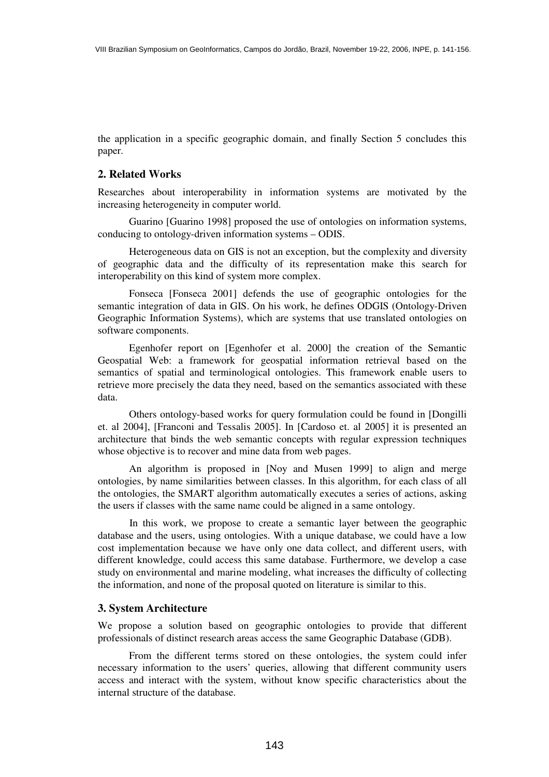the application in a specific geographic domain, and finally Section 5 concludes this paper.

## **2. Related Works**

Researches about interoperability in information systems are motivated by the increasing heterogeneity in computer world.

 Guarino [Guarino 1998] proposed the use of ontologies on information systems, conducing to ontology-driven information systems – ODIS.

 Heterogeneous data on GIS is not an exception, but the complexity and diversity of geographic data and the difficulty of its representation make this search for interoperability on this kind of system more complex.

 Fonseca [Fonseca 2001] defends the use of geographic ontologies for the semantic integration of data in GIS. On his work, he defines ODGIS (Ontology-Driven Geographic Information Systems), which are systems that use translated ontologies on software components.

 Egenhofer report on [Egenhofer et al. 2000] the creation of the Semantic Geospatial Web: a framework for geospatial information retrieval based on the semantics of spatial and terminological ontologies. This framework enable users to retrieve more precisely the data they need, based on the semantics associated with these data.

 Others ontology-based works for query formulation could be found in [Dongilli et. al 2004], [Franconi and Tessalis 2005]. In [Cardoso et. al 2005] it is presented an architecture that binds the web semantic concepts with regular expression techniques whose objective is to recover and mine data from web pages.

An algorithm is proposed in [Noy and Musen 1999] to align and merge ontologies, by name similarities between classes. In this algorithm, for each class of all the ontologies, the SMART algorithm automatically executes a series of actions, asking the users if classes with the same name could be aligned in a same ontology.

 In this work, we propose to create a semantic layer between the geographic database and the users, using ontologies. With a unique database, we could have a low cost implementation because we have only one data collect, and different users, with different knowledge, could access this same database. Furthermore, we develop a case study on environmental and marine modeling, what increases the difficulty of collecting the information, and none of the proposal quoted on literature is similar to this.

#### **3. System Architecture**

We propose a solution based on geographic ontologies to provide that different professionals of distinct research areas access the same Geographic Database (GDB).

 From the different terms stored on these ontologies, the system could infer necessary information to the users' queries, allowing that different community users access and interact with the system, without know specific characteristics about the internal structure of the database.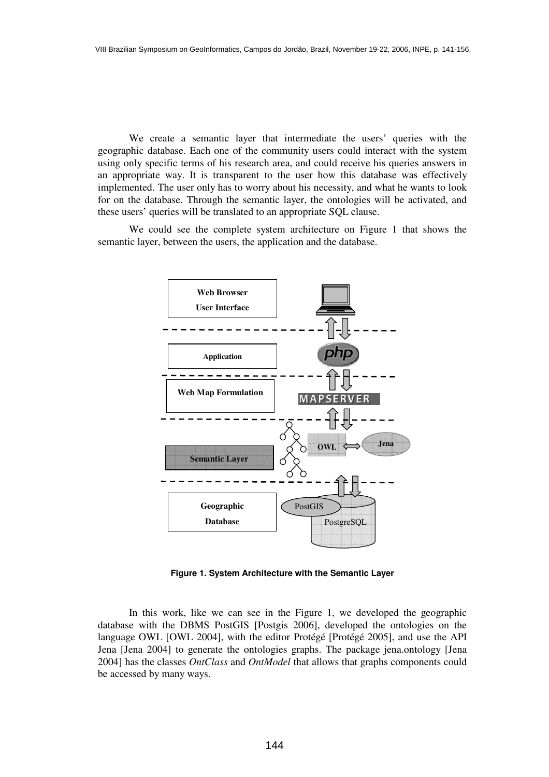We create a semantic layer that intermediate the users' queries with the geographic database. Each one of the community users could interact with the system using only specific terms of his research area, and could receive his queries answers in an appropriate way. It is transparent to the user how this database was effectively implemented. The user only has to worry about his necessity, and what he wants to look for on the database. Through the semantic layer, the ontologies will be activated, and these users' queries will be translated to an appropriate SQL clause.

 We could see the complete system architecture on Figure 1 that shows the semantic layer, between the users, the application and the database.



**Figure 1. System Architecture with the Semantic Layer** 

 In this work, like we can see in the Figure 1, we developed the geographic database with the DBMS PostGIS [Postgis 2006], developed the ontologies on the language OWL [OWL 2004], with the editor Protégé [Protégé 2005], and use the API Jena [Jena 2004] to generate the ontologies graphs. The package jena.ontology [Jena 2004] has the classes *OntClass* and *OntModel* that allows that graphs components could be accessed by many ways.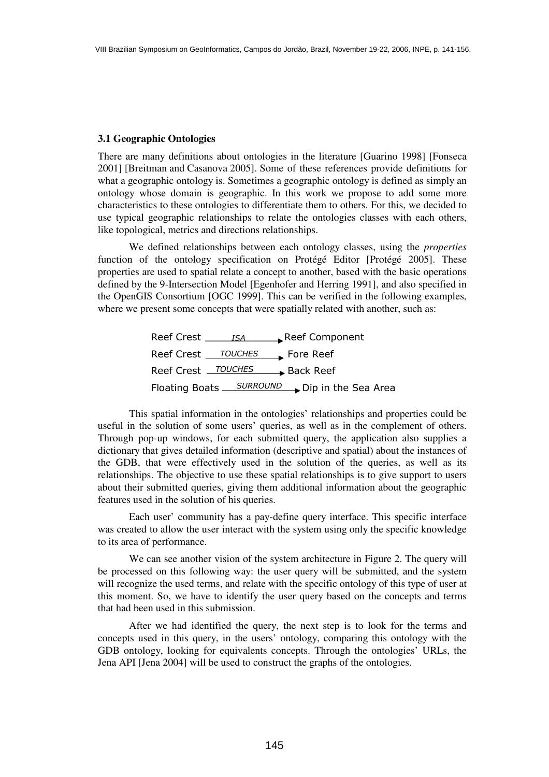## **3.1 Geographic Ontologies**

There are many definitions about ontologies in the literature [Guarino 1998] [Fonseca 2001] [Breitman and Casanova 2005]. Some of these references provide definitions for what a geographic ontology is. Sometimes a geographic ontology is defined as simply an ontology whose domain is geographic. In this work we propose to add some more characteristics to these ontologies to differentiate them to others. For this, we decided to use typical geographic relationships to relate the ontologies classes with each others, like topological, metrics and directions relationships.

 We defined relationships between each ontology classes, using the *properties* function of the ontology specification on Protégé Editor [Protégé 2005]. These properties are used to spatial relate a concept to another, based with the basic operations defined by the 9-Intersection Model [Egenhofer and Herring 1991], and also specified in the OpenGIS Consortium [OGC 1999]. This can be verified in the following examples, where we present some concepts that were spatially related with another, such as:

| Reef Crest TOUCHES Back Reef |                                                    |
|------------------------------|----------------------------------------------------|
|                              | Floating Boats <u>SURROUND</u> Dip in the Sea Area |

 This spatial information in the ontologies' relationships and properties could be useful in the solution of some users' queries, as well as in the complement of others. Through pop-up windows, for each submitted query, the application also supplies a dictionary that gives detailed information (descriptive and spatial) about the instances of the GDB, that were effectively used in the solution of the queries, as well as its relationships. The objective to use these spatial relationships is to give support to users about their submitted queries, giving them additional information about the geographic features used in the solution of his queries.

 Each user' community has a pay-define query interface. This specific interface was created to allow the user interact with the system using only the specific knowledge to its area of performance.

We can see another vision of the system architecture in Figure 2. The query will be processed on this following way: the user query will be submitted, and the system will recognize the used terms, and relate with the specific ontology of this type of user at this moment. So, we have to identify the user query based on the concepts and terms that had been used in this submission.

 After we had identified the query, the next step is to look for the terms and concepts used in this query, in the users' ontology, comparing this ontology with the GDB ontology, looking for equivalents concepts. Through the ontologies' URLs, the Jena API [Jena 2004] will be used to construct the graphs of the ontologies.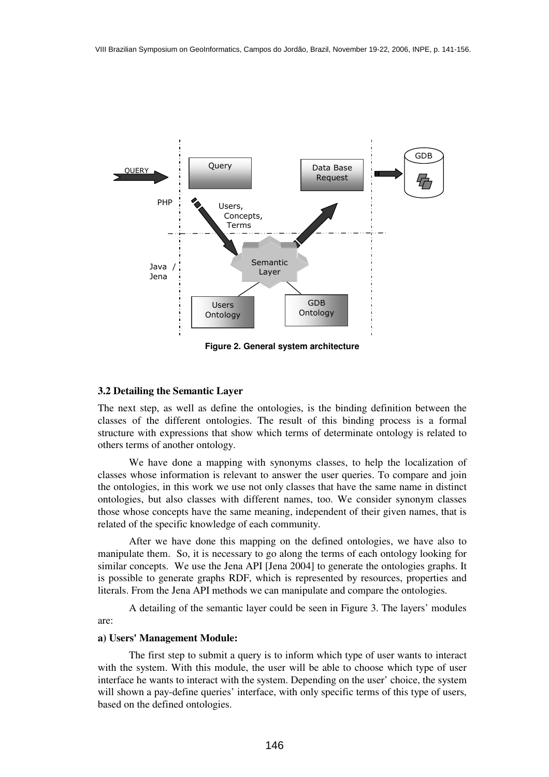

**Figure 2. General system architecture** 

#### **3.2 Detailing the Semantic Layer**

The next step, as well as define the ontologies, is the binding definition between the classes of the different ontologies. The result of this binding process is a formal structure with expressions that show which terms of determinate ontology is related to others terms of another ontology.

 We have done a mapping with synonyms classes, to help the localization of classes whose information is relevant to answer the user queries. To compare and join the ontologies, in this work we use not only classes that have the same name in distinct ontologies, but also classes with different names, too. We consider synonym classes those whose concepts have the same meaning, independent of their given names, that is related of the specific knowledge of each community.

 After we have done this mapping on the defined ontologies, we have also to manipulate them. So, it is necessary to go along the terms of each ontology looking for similar concepts. We use the Jena API [Jena 2004] to generate the ontologies graphs. It is possible to generate graphs RDF, which is represented by resources, properties and literals. From the Jena API methods we can manipulate and compare the ontologies.

 A detailing of the semantic layer could be seen in Figure 3. The layers' modules are:

#### **a) Users' Management Module:**

 The first step to submit a query is to inform which type of user wants to interact with the system. With this module, the user will be able to choose which type of user interface he wants to interact with the system. Depending on the user' choice, the system will shown a pay-define queries' interface, with only specific terms of this type of users, based on the defined ontologies.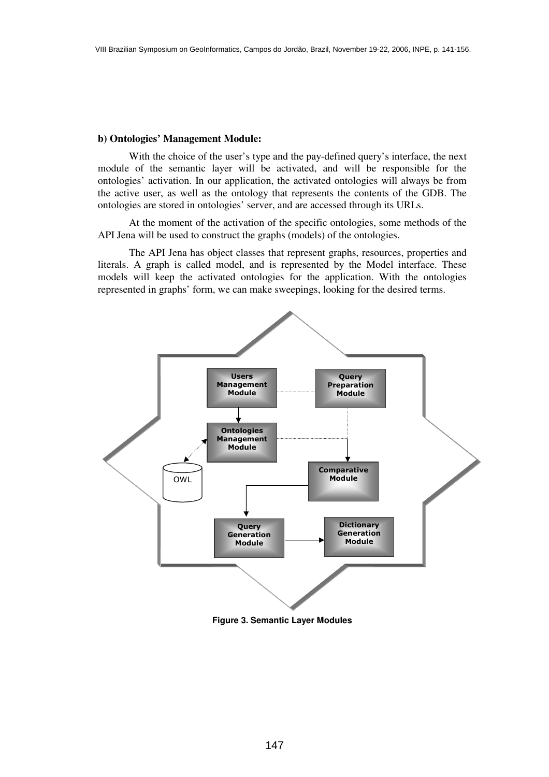#### **b) Ontologies' Management Module:**

 With the choice of the user's type and the pay-defined query's interface, the next module of the semantic layer will be activated, and will be responsible for the ontologies' activation. In our application, the activated ontologies will always be from the active user, as well as the ontology that represents the contents of the GDB. The ontologies are stored in ontologies' server, and are accessed through its URLs.

 At the moment of the activation of the specific ontologies, some methods of the API Jena will be used to construct the graphs (models) of the ontologies.

 The API Jena has object classes that represent graphs, resources, properties and literals. A graph is called model, and is represented by the Model interface. These models will keep the activated ontologies for the application. With the ontologies represented in graphs' form, we can make sweepings, looking for the desired terms.



**Figure 3. Semantic Layer Modules**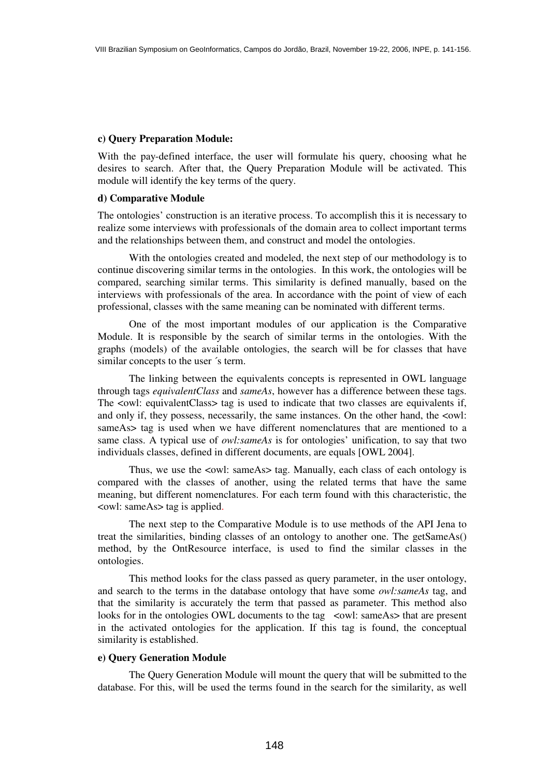#### **c) Query Preparation Module:**

With the pay-defined interface, the user will formulate his query, choosing what he desires to search. After that, the Query Preparation Module will be activated. This module will identify the key terms of the query.

#### **d) Comparative Module**

The ontologies' construction is an iterative process. To accomplish this it is necessary to realize some interviews with professionals of the domain area to collect important terms and the relationships between them, and construct and model the ontologies.

 With the ontologies created and modeled, the next step of our methodology is to continue discovering similar terms in the ontologies. In this work, the ontologies will be compared, searching similar terms. This similarity is defined manually, based on the interviews with professionals of the area. In accordance with the point of view of each professional, classes with the same meaning can be nominated with different terms.

 One of the most important modules of our application is the Comparative Module. It is responsible by the search of similar terms in the ontologies. With the graphs (models) of the available ontologies, the search will be for classes that have similar concepts to the user  $\acute{\text{s}}$  term.

 The linking between the equivalents concepts is represented in OWL language through tags *equivalentClass* and *sameAs*, however has a difference between these tags. The <owl: equivalentClass> tag is used to indicate that two classes are equivalents if, and only if, they possess, necessarily, the same instances. On the other hand, the <owl: sameAs> tag is used when we have different nomenclatures that are mentioned to a same class. A typical use of *owl:sameAs* is for ontologies' unification, to say that two individuals classes, defined in different documents, are equals [OWL 2004].

Thus, we use the <owl: sameAs> tag. Manually, each class of each ontology is compared with the classes of another, using the related terms that have the same meaning, but different nomenclatures. For each term found with this characteristic, the <owl: sameAs> tag is applied.

 The next step to the Comparative Module is to use methods of the API Jena to treat the similarities, binding classes of an ontology to another one. The getSameAs() method, by the OntResource interface, is used to find the similar classes in the ontologies.

 This method looks for the class passed as query parameter, in the user ontology, and search to the terms in the database ontology that have some *owl:sameAs* tag, and that the similarity is accurately the term that passed as parameter. This method also looks for in the ontologies OWL documents to the tag <owl: sameAs> that are present in the activated ontologies for the application. If this tag is found, the conceptual similarity is established.

#### **e) Query Generation Module**

 The Query Generation Module will mount the query that will be submitted to the database. For this, will be used the terms found in the search for the similarity, as well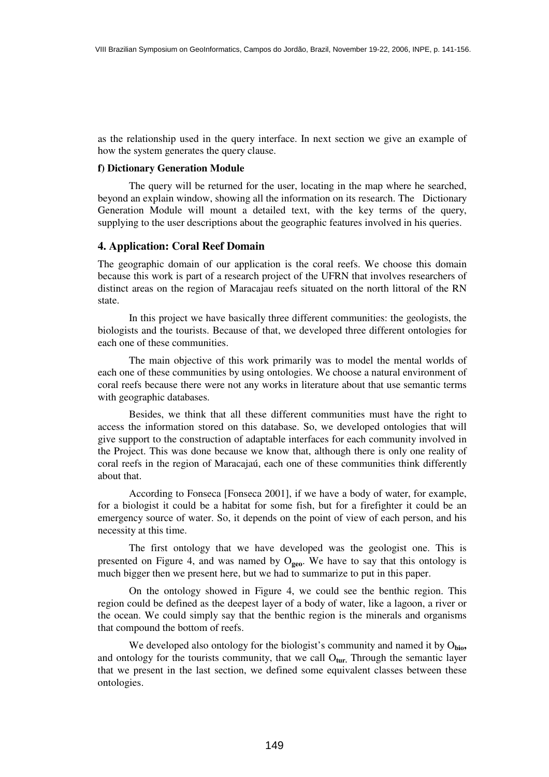as the relationship used in the query interface. In next section we give an example of how the system generates the query clause.

## **f) Dictionary Generation Module**

 The query will be returned for the user, locating in the map where he searched, beyond an explain window, showing all the information on its research. The Dictionary Generation Module will mount a detailed text, with the key terms of the query, supplying to the user descriptions about the geographic features involved in his queries.

#### **4. Application: Coral Reef Domain**

The geographic domain of our application is the coral reefs. We choose this domain because this work is part of a research project of the UFRN that involves researchers of distinct areas on the region of Maracajau reefs situated on the north littoral of the RN state.

 In this project we have basically three different communities: the geologists, the biologists and the tourists. Because of that, we developed three different ontologies for each one of these communities.

 The main objective of this work primarily was to model the mental worlds of each one of these communities by using ontologies. We choose a natural environment of coral reefs because there were not any works in literature about that use semantic terms with geographic databases.

 Besides, we think that all these different communities must have the right to access the information stored on this database. So, we developed ontologies that will give support to the construction of adaptable interfaces for each community involved in the Project. This was done because we know that, although there is only one reality of coral reefs in the region of Maracajaú, each one of these communities think differently about that.

 According to Fonseca [Fonseca 2001], if we have a body of water, for example, for a biologist it could be a habitat for some fish, but for a firefighter it could be an emergency source of water. So, it depends on the point of view of each person, and his necessity at this time.

 The first ontology that we have developed was the geologist one. This is presented on Figure 4, and was named by O**geo**. We have to say that this ontology is much bigger then we present here, but we had to summarize to put in this paper.

 On the ontology showed in Figure 4, we could see the benthic region. This region could be defined as the deepest layer of a body of water, like a lagoon, a river or the ocean. We could simply say that the benthic region is the minerals and organisms that compound the bottom of reefs.

We developed also ontology for the biologist's community and named it by O<sub>bio</sub>, and ontology for the tourists community, that we call O<sub>tur</sub>. Through the semantic layer that we present in the last section, we defined some equivalent classes between these ontologies.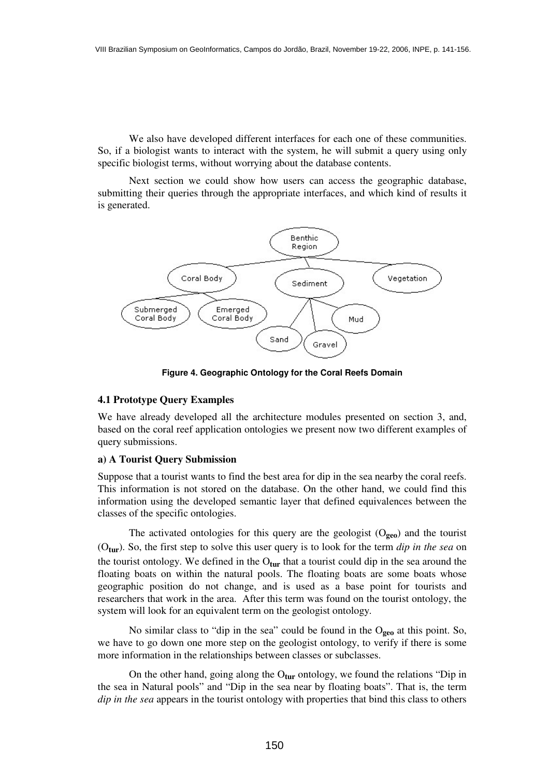We also have developed different interfaces for each one of these communities. So, if a biologist wants to interact with the system, he will submit a query using only specific biologist terms, without worrying about the database contents.

 Next section we could show how users can access the geographic database, submitting their queries through the appropriate interfaces, and which kind of results it is generated.



**Figure 4. Geographic Ontology for the Coral Reefs Domain** 

## **4.1 Prototype Query Examples**

We have already developed all the architecture modules presented on section 3, and, based on the coral reef application ontologies we present now two different examples of query submissions.

#### **a) A Tourist Query Submission**

Suppose that a tourist wants to find the best area for dip in the sea nearby the coral reefs. This information is not stored on the database. On the other hand, we could find this information using the developed semantic layer that defined equivalences between the classes of the specific ontologies.

 The activated ontologies for this query are the geologist (O**geo**) and the tourist (O**tur**). So, the first step to solve this user query is to look for the term *dip in the sea* on the tourist ontology. We defined in the O**tur** that a tourist could dip in the sea around the floating boats on within the natural pools. The floating boats are some boats whose geographic position do not change, and is used as a base point for tourists and researchers that work in the area. After this term was found on the tourist ontology, the system will look for an equivalent term on the geologist ontology.

 No similar class to "dip in the sea" could be found in the O**geo** at this point. So, we have to go down one more step on the geologist ontology, to verify if there is some more information in the relationships between classes or subclasses.

 On the other hand, going along the O**tur** ontology, we found the relations "Dip in the sea in Natural pools" and "Dip in the sea near by floating boats". That is, the term *dip in the sea* appears in the tourist ontology with properties that bind this class to others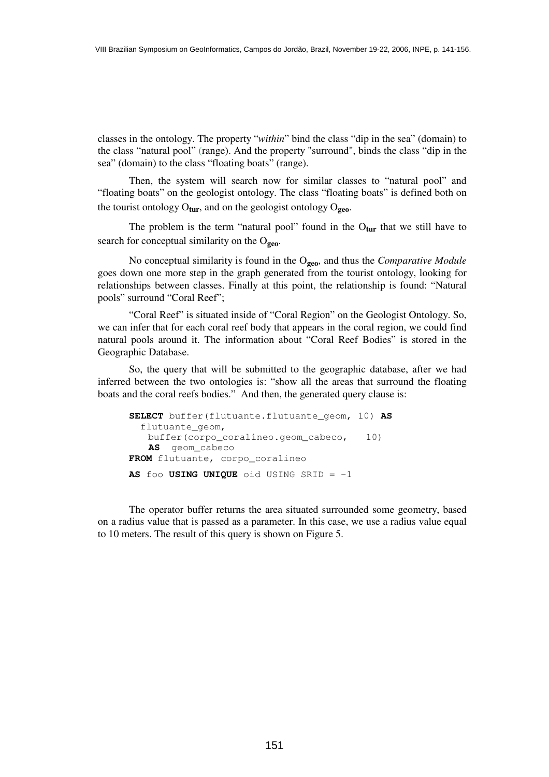classes in the ontology. The property "*within*" bind the class "dip in the sea" (domain) to the class "natural pool" (range). And the property "surround", binds the class "dip in the sea" (domain) to the class "floating boats" (range).

Then, the system will search now for similar classes to "natural pool" and "floating boats" on the geologist ontology. The class "floating boats" is defined both on the tourist ontology O**tur**, and on the geologist ontology O**geo**.

The problem is the term "natural pool" found in the O<sub>tur</sub> that we still have to search for conceptual similarity on the O**geo**.

 No conceptual similarity is found in the O**geo**, and thus the *Comparative Module*  goes down one more step in the graph generated from the tourist ontology, looking for relationships between classes. Finally at this point, the relationship is found: "Natural pools" surround "Coral Reef";

"Coral Reef" is situated inside of "Coral Region" on the Geologist Ontology. So, we can infer that for each coral reef body that appears in the coral region, we could find natural pools around it. The information about "Coral Reef Bodies" is stored in the Geographic Database.

 So, the query that will be submitted to the geographic database, after we had inferred between the two ontologies is: "show all the areas that surround the floating boats and the coral reefs bodies." And then, the generated query clause is:

```
SELECT buffer(flutuante.flutuante_geom, 10) AS 
  flutuante_geom, 
   buffer(corpo_coralineo.geom_cabeco, 10) 
   AS geom_cabeco 
FROM flutuante, corpo_coralineo 
AS foo USING UNIQUE oid USING SRID = -1
```
 The operator buffer returns the area situated surrounded some geometry, based on a radius value that is passed as a parameter. In this case, we use a radius value equal to 10 meters. The result of this query is shown on Figure 5.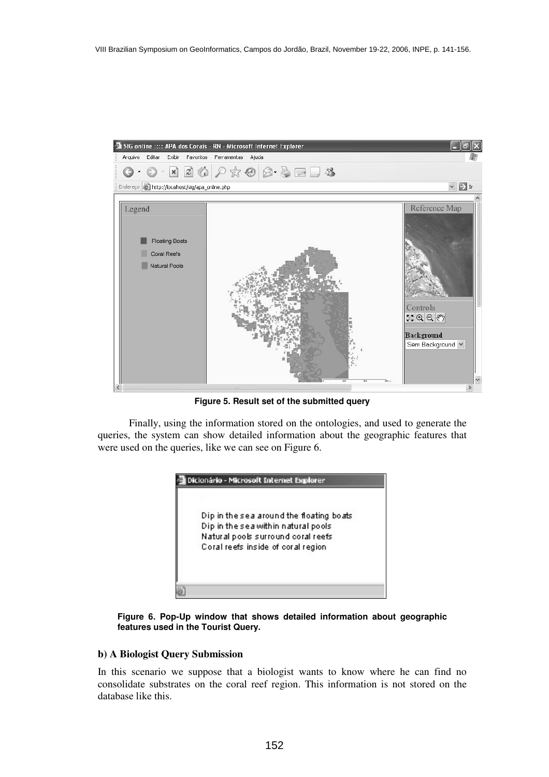

**Figure 5. Result set of the submitted query** 

 Finally, using the information stored on the ontologies, and used to generate the queries, the system can show detailed information about the geographic features that were used on the queries, like we can see on Figure 6.

| Dip in the sea around the floating boats                                 |
|--------------------------------------------------------------------------|
| Dip in the sea within natural pools                                      |
| Natural pools surround coral reefs<br>Coral reefs inside of coral region |
|                                                                          |
|                                                                          |
|                                                                          |

**Figure 6. Pop-Up window that shows detailed information about geographic features used in the Tourist Query.** 

## **b) A Biologist Query Submission**

In this scenario we suppose that a biologist wants to know where he can find no consolidate substrates on the coral reef region. This information is not stored on the database like this.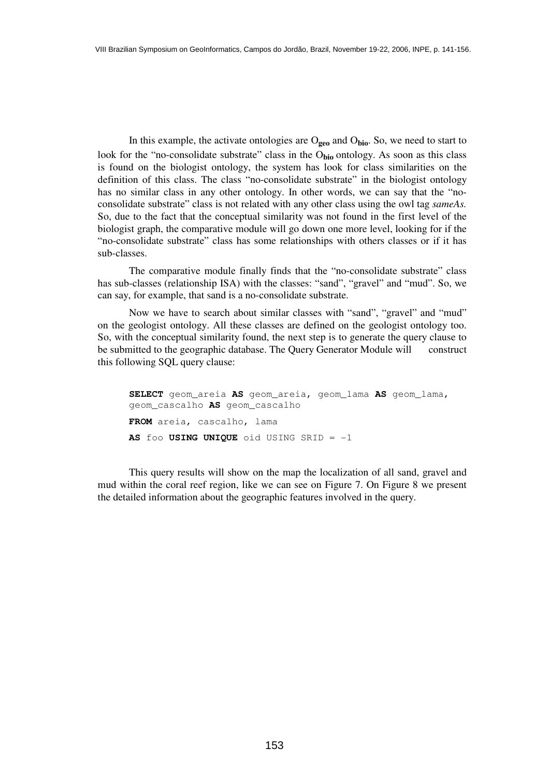In this example, the activate ontologies are O**geo** and O**bio**. So, we need to start to look for the "no-consolidate substrate" class in the O<sub>bio</sub> ontology. As soon as this class is found on the biologist ontology, the system has look for class similarities on the definition of this class. The class "no-consolidate substrate" in the biologist ontology has no similar class in any other ontology. In other words, we can say that the "noconsolidate substrate" class is not related with any other class using the owl tag *sameAs.*  So, due to the fact that the conceptual similarity was not found in the first level of the biologist graph, the comparative module will go down one more level, looking for if the "no-consolidate substrate" class has some relationships with others classes or if it has sub-classes.

 The comparative module finally finds that the "no-consolidate substrate" class has sub-classes (relationship ISA) with the classes: "sand", "gravel" and "mud". So, we can say, for example, that sand is a no-consolidate substrate.

 Now we have to search about similar classes with "sand", "gravel" and "mud" on the geologist ontology. All these classes are defined on the geologist ontology too. So, with the conceptual similarity found, the next step is to generate the query clause to be submitted to the geographic database. The Query Generator Module will construct this following SQL query clause:

**SELECT** geom\_areia **AS** geom\_areia, geom\_lama **AS** geom\_lama, geom\_cascalho **AS** geom\_cascalho  **FROM** areia, cascalho, lama **AS** foo **USING UNIQUE** oid USING SRID = -1

 This query results will show on the map the localization of all sand, gravel and mud within the coral reef region, like we can see on Figure 7. On Figure 8 we present the detailed information about the geographic features involved in the query.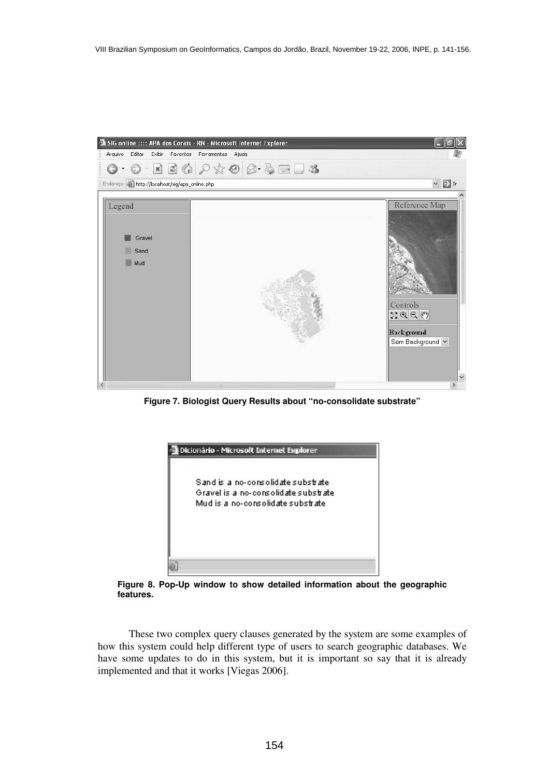

**Figure 7. Biologist Query Results about "no-consolidate substrate"** 



**Figure 8. Pop-Up window to show detailed information about the geographic features.** 

 These two complex query clauses generated by the system are some examples of how this system could help different type of users to search geographic databases. We have some updates to do in this system, but it is important so say that it is already implemented and that it works [Viegas 2006].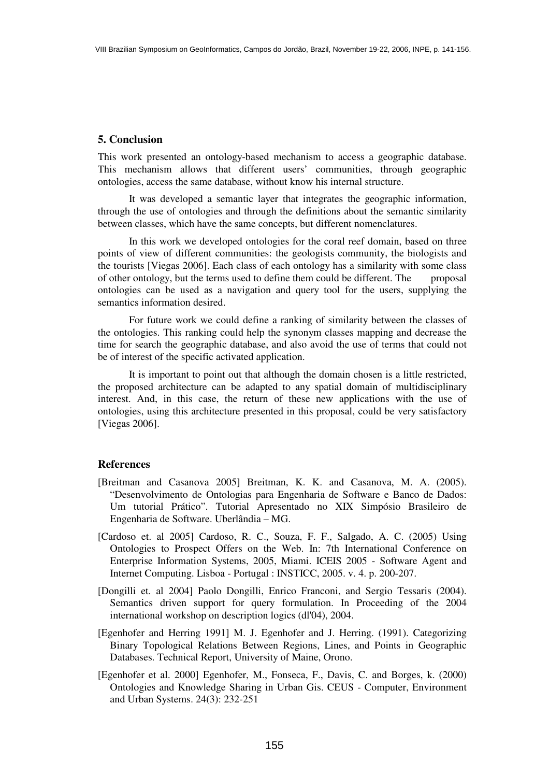## **5. Conclusion**

This work presented an ontology-based mechanism to access a geographic database. This mechanism allows that different users' communities, through geographic ontologies, access the same database, without know his internal structure.

 It was developed a semantic layer that integrates the geographic information, through the use of ontologies and through the definitions about the semantic similarity between classes, which have the same concepts, but different nomenclatures.

 In this work we developed ontologies for the coral reef domain, based on three points of view of different communities: the geologists community, the biologists and the tourists [Viegas 2006]. Each class of each ontology has a similarity with some class of other ontology, but the terms used to define them could be different. The proposal ontologies can be used as a navigation and query tool for the users, supplying the semantics information desired.

For future work we could define a ranking of similarity between the classes of the ontologies. This ranking could help the synonym classes mapping and decrease the time for search the geographic database, and also avoid the use of terms that could not be of interest of the specific activated application.

 It is important to point out that although the domain chosen is a little restricted, the proposed architecture can be adapted to any spatial domain of multidisciplinary interest. And, in this case, the return of these new applications with the use of ontologies, using this architecture presented in this proposal, could be very satisfactory [Viegas 2006].

## **References**

- [Breitman and Casanova 2005] Breitman, K. K. and Casanova, M. A. (2005). "Desenvolvimento de Ontologias para Engenharia de Software e Banco de Dados: Um tutorial Prático". Tutorial Apresentado no XIX Simpósio Brasileiro de Engenharia de Software. Uberlândia – MG.
- [Cardoso et. al 2005] Cardoso, R. C., Souza, F. F., Salgado, A. C. (2005) Using Ontologies to Prospect Offers on the Web. In: 7th International Conference on Enterprise Information Systems, 2005, Miami. ICEIS 2005 - Software Agent and Internet Computing. Lisboa - Portugal : INSTICC, 2005. v. 4. p. 200-207.
- [Dongilli et. al 2004] Paolo Dongilli, Enrico Franconi, and Sergio Tessaris (2004). Semantics driven support for query formulation. In Proceeding of the 2004 international workshop on description logics (dl'04), 2004.
- [Egenhofer and Herring 1991] M. J. Egenhofer and J. Herring. (1991). Categorizing Binary Topological Relations Between Regions, Lines, and Points in Geographic Databases. Technical Report, University of Maine, Orono.
- [Egenhofer et al. 2000] Egenhofer, M., Fonseca, F., Davis, C. and Borges, k. (2000) Ontologies and Knowledge Sharing in Urban Gis. CEUS - Computer, Environment and Urban Systems. 24(3): 232-251